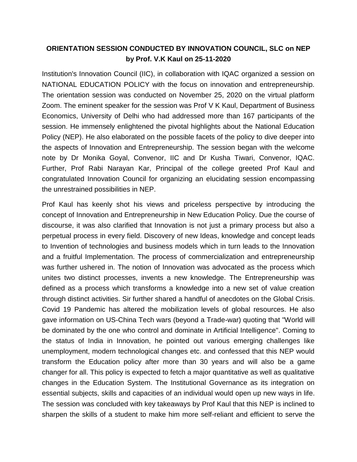## **ORIENTATION SESSION CONDUCTED BY INNOVATION COUNCIL, SLC on NEP by Prof. V.K Kaul on 25-11-2020**

Institution's Innovation Council (IIC), in collaboration with IQAC organized a session on NATIONAL EDUCATION POLICY with the focus on innovation and entrepreneurship. The orientation session was conducted on November 25, 2020 on the virtual platform Zoom. The eminent speaker for the session was Prof V K Kaul, Department of Business Economics, University of Delhi who had addressed more than 167 participants of the session. He immensely enlightened the pivotal highlights about the National Education Policy (NEP). He also elaborated on the possible facets of the policy to dive deeper into the aspects of Innovation and Entrepreneurship. The session began with the welcome note by Dr Monika Goyal, Convenor, IIC and Dr Kusha Tiwari, Convenor, IQAC. Further, Prof Rabi Narayan Kar, Principal of the college greeted Prof Kaul and congratulated Innovation Council for organizing an elucidating session encompassing the unrestrained possibilities in NEP.

Prof Kaul has keenly shot his views and priceless perspective by introducing the concept of Innovation and Entrepreneurship in New Education Policy. Due the course of discourse, it was also clarified that Innovation is not just a primary process but also a perpetual process in every field. Discovery of new Ideas, knowledge and concept leads to Invention of technologies and business models which in turn leads to the Innovation and a fruitful Implementation. The process of commercialization and entrepreneurship was further ushered in. The notion of Innovation was advocated as the process which unites two distinct processes, invents a new knowledge. The Entrepreneurship was defined as a process which transforms a knowledge into a new set of value creation through distinct activities. Sir further shared a handful of anecdotes on the Global Crisis. Covid 19 Pandemic has altered the mobilization levels of global resources. He also gave information on US-China Tech wars (beyond a Trade-war) quoting that "World will be dominated by the one who control and dominate in Artificial Intelligence". Coming to the status of India in Innovation, he pointed out various emerging challenges like unemployment, modern technological changes etc. and confessed that this NEP would transform the Education policy after more than 30 years and will also be a game changer for all. This policy is expected to fetch a major quantitative as well as qualitative changes in the Education System. The Institutional Governance as its integration on essential subjects, skills and capacities of an individual would open up new ways in life. The session was concluded with key takeaways by Prof Kaul that this NEP is inclined to sharpen the skills of a student to make him more self-reliant and efficient to serve the